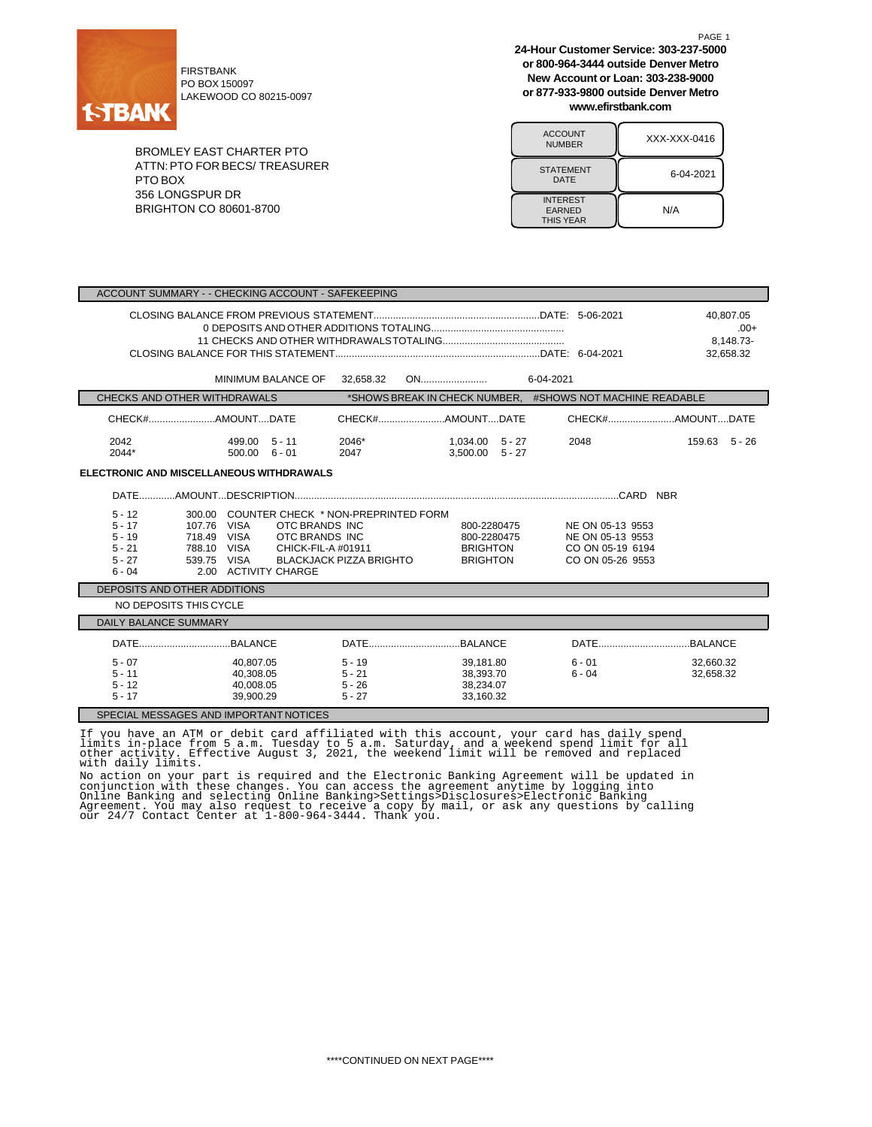

PO BOX 150097 LAKEWOOD CO 80215-0097

BROMLEY EAST CHARTER PTO ATTN:PTO FOR BECS/ TREASURER PTO BOX 356 LONGSPUR DR BRIGHTON CO 80601-8700

**24-Hour Customer Service: 303-237-5000 or 800-964-3444 outside Denver Metro New Account or Loan: 303-238-9000 or 877-933-9800 outside Denver Metro www.efirstbank.com**

PAGE 1

| <b>ACCOUNT</b><br><b>NUMBER</b>                      | XXX-XXX-0416 |
|------------------------------------------------------|--------------|
| <b>STATEMENT</b><br>DATE                             | 6-04-2021    |
| <b>INTEREST</b><br><b>EARNED</b><br><b>THIS YEAR</b> | N/A          |

| ACCOUNT SUMMARY - - CHECKING ACCOUNT - SAFEKEEPING                                                                                                                                                                                                                               |                                          |                                                                  |                                                                              |                                               |
|----------------------------------------------------------------------------------------------------------------------------------------------------------------------------------------------------------------------------------------------------------------------------------|------------------------------------------|------------------------------------------------------------------|------------------------------------------------------------------------------|-----------------------------------------------|
|                                                                                                                                                                                                                                                                                  |                                          |                                                                  |                                                                              | 40.807.05<br>$.00+$<br>8.148.73-<br>32,658.32 |
| MINIMUM BALANCE OF                                                                                                                                                                                                                                                               | 32,658.32                                |                                                                  |                                                                              |                                               |
| CHECKS AND OTHER WITHDRAWALS                                                                                                                                                                                                                                                     |                                          |                                                                  | *SHOWS BREAK IN CHECK NUMBER, #SHOWS NOT MACHINE READABLE                    |                                               |
|                                                                                                                                                                                                                                                                                  |                                          | CHECK#AMOUNTDATE                                                 |                                                                              |                                               |
| 2042<br>499.00 5 - 11<br>2044*<br>$500.00 \quad 6 - 01$                                                                                                                                                                                                                          | 2046*<br>2047                            | 1,034.00 5 - 27<br>$3.500.00$ $5 - 27$                           | 2048                                                                         | 159.63 5 - 26                                 |
| <b>ELECTRONIC AND MISCELLANEOUS WITHDRAWALS</b>                                                                                                                                                                                                                                  |                                          |                                                                  |                                                                              |                                               |
|                                                                                                                                                                                                                                                                                  |                                          |                                                                  |                                                                              |                                               |
| COUNTER CHECK * NON-PREPRINTED FORM<br>$5 - 12$<br>300.00<br>$5 - 17$<br>107.76<br><b>VISA</b><br>OTC BRANDS INC<br>718.49 VISA<br>$5 - 19$<br>OTC BRANDS INC<br>$5 - 21$<br>788.10 VISA<br>CHICK-FIL-A #01911<br>$5 - 27$<br>VISA<br>539.75<br>$6 - 04$<br>2.00 ACTIVITY CHARGE | <b>BLACKJACK PIZZA BRIGHTO</b>           | 800-2280475<br>800-2280475<br><b>BRIGHTON</b><br><b>BRIGHTON</b> | NE ON 05-13 9553<br>NE ON 05-13 9553<br>CO ON 05-19 6194<br>CO ON 05-26 9553 |                                               |
| DEPOSITS AND OTHER ADDITIONS                                                                                                                                                                                                                                                     |                                          |                                                                  |                                                                              |                                               |
| NO DEPOSITS THIS CYCLE                                                                                                                                                                                                                                                           |                                          |                                                                  |                                                                              |                                               |
| <b>DAILY BALANCE SUMMARY</b>                                                                                                                                                                                                                                                     |                                          |                                                                  |                                                                              |                                               |
|                                                                                                                                                                                                                                                                                  |                                          |                                                                  |                                                                              |                                               |
| $5 - 07$<br>40.807.05<br>$5 - 11$<br>40,308.05<br>$5 - 12$<br>40.008.05<br>$5 - 17$<br>39,900.29                                                                                                                                                                                 | $5 - 19$<br>5 - 21<br>5 - 26<br>$5 - 27$ | 39.181.80<br>38,393.70<br>38,234.07<br>33,160.32                 | 6 - 01<br>$6 - 04$                                                           | 32.660.32<br>32,658.32                        |
| SPECIAL MESSAGES AND IMPORTANT NOTICES                                                                                                                                                                                                                                           |                                          |                                                                  |                                                                              |                                               |

If you have an ATM or debit card affiliated with this account, your card has daily spend<br>limits in-place from 5 a.m. Tuesday to 5 a.m. Saturday, and a weekend spend limit for all<br>other activity. Effective August 3, 2021, t

No action on your part is required and the Electronic Banking Agreement will be updated in<br>conjunction with these changes. You can access the agreement anytime by logging into<br>Online Banking and selecting Online Banking>Se Agreement. You may also request to receive a copy by mail, or ask any questions by calling our 24/7 Contact Center at 1-800-964-3444. Thank you.